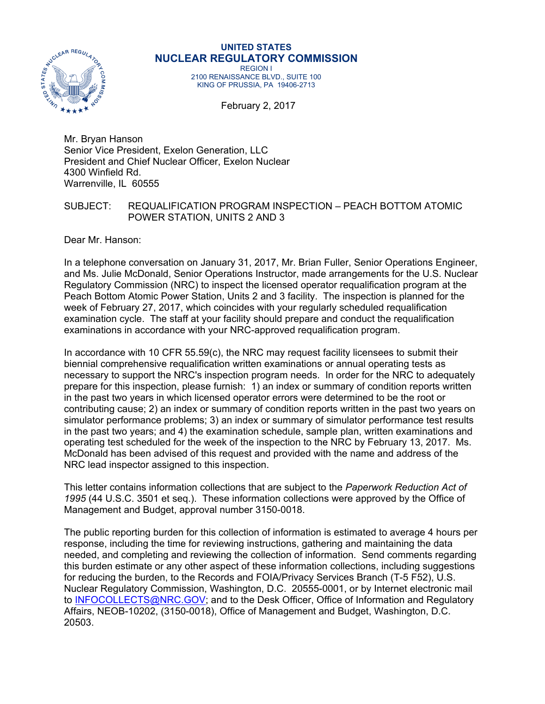

#### **UNITED STATES NUCLEAR REGULATORY COMMISSION**  REGION I

2100 RENAISSANCE BLVD., SUITE 100 KING OF PRUSSIA, PA 19406-2713

February 2, 2017

Mr. Bryan Hanson Senior Vice President, Exelon Generation, LLC President and Chief Nuclear Officer, Exelon Nuclear 4300 Winfield Rd. Warrenville, IL 60555

## SUBJECT: REQUALIFICATION PROGRAM INSPECTION – PEACH BOTTOM ATOMIC POWER STATION, UNITS 2 AND 3

Dear Mr. Hanson:

In a telephone conversation on January 31, 2017, Mr. Brian Fuller, Senior Operations Engineer, and Ms. Julie McDonald, Senior Operations Instructor, made arrangements for the U.S. Nuclear Regulatory Commission (NRC) to inspect the licensed operator requalification program at the Peach Bottom Atomic Power Station, Units 2 and 3 facility. The inspection is planned for the week of February 27, 2017, which coincides with your regularly scheduled requalification examination cycle. The staff at your facility should prepare and conduct the requalification examinations in accordance with your NRC-approved requalification program.

In accordance with 10 CFR 55.59(c), the NRC may request facility licensees to submit their biennial comprehensive requalification written examinations or annual operating tests as necessary to support the NRC's inspection program needs. In order for the NRC to adequately prepare for this inspection, please furnish: 1) an index or summary of condition reports written in the past two years in which licensed operator errors were determined to be the root or contributing cause; 2) an index or summary of condition reports written in the past two years on simulator performance problems; 3) an index or summary of simulator performance test results in the past two years; and 4) the examination schedule, sample plan, written examinations and operating test scheduled for the week of the inspection to the NRC by February 13, 2017. Ms. McDonald has been advised of this request and provided with the name and address of the NRC lead inspector assigned to this inspection.

This letter contains information collections that are subject to the *Paperwork Reduction Act of 1995* (44 U.S.C. 3501 et seq.). These information collections were approved by the Office of Management and Budget, approval number 3150-0018.

The public reporting burden for this collection of information is estimated to average 4 hours per response, including the time for reviewing instructions, gathering and maintaining the data needed, and completing and reviewing the collection of information. Send comments regarding this burden estimate or any other aspect of these information collections, including suggestions for reducing the burden, to the Records and FOIA/Privacy Services Branch (T-5 F52), U.S. Nuclear Regulatory Commission, Washington, D.C. 20555-0001, or by Internet electronic mail to INFOCOLLECTS@NRC.GOV; and to the Desk Officer, Office of Information and Regulatory Affairs, NEOB-10202, (3150-0018), Office of Management and Budget, Washington, D.C. 20503.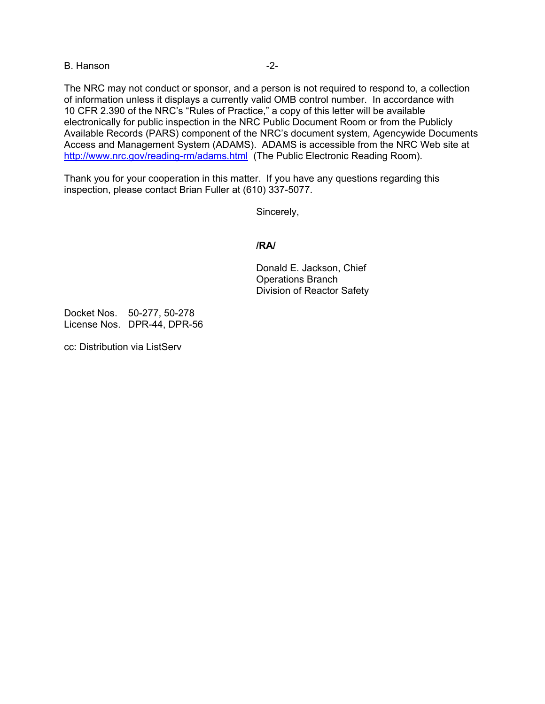### B. Hanson **B.** Hanson

The NRC may not conduct or sponsor, and a person is not required to respond to, a collection of information unless it displays a currently valid OMB control number. In accordance with 10 CFR 2.390 of the NRC's "Rules of Practice," a copy of this letter will be available electronically for public inspection in the NRC Public Document Room or from the Publicly Available Records (PARS) component of the NRC's document system, Agencywide Documents Access and Management System (ADAMS). ADAMS is accessible from the NRC Web site at http://www.nrc.gov/reading-rm/adams.html (The Public Electronic Reading Room).

Thank you for your cooperation in this matter. If you have any questions regarding this inspection, please contact Brian Fuller at (610) 337-5077.

Sincerely,

### **/RA/**

Donald E. Jackson, Chief Operations Branch Division of Reactor Safety

Docket Nos. 50-277, 50-278 License Nos. DPR-44, DPR-56

cc: Distribution via ListServ